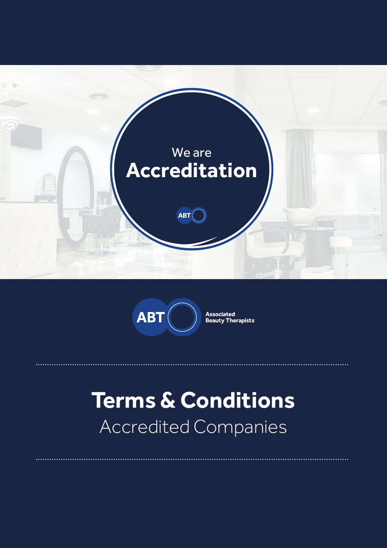



**Associated<br>Beauty Therapists** 

# **Terms & Conditions** Accredited Companies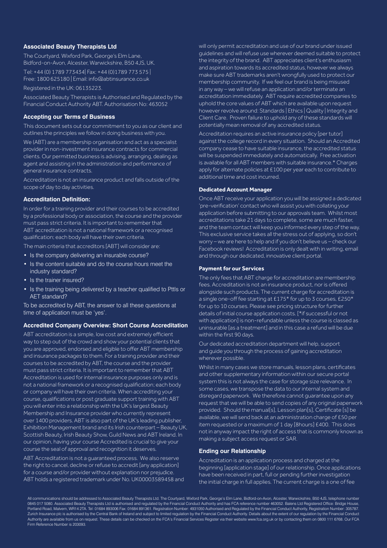# **Associated Beauty Therapists Ltd**

The Courtyard, Wixford Park, George's Elm Lane, Bidford-on-Avon, Alcester, Warwickshire, B50 4JS, UK. Tel: +44 (0) 1789 773434| Fax: +44 (0)1789 773 575 | Free: 1800 625180 | Email: info@abtinsurance.co.uk

Registered in the UK: 06135223.

Associated Beauty Therapists is Authorised and Regulated by the Financial Conduct Authority ABT. Authorisation No: 463052

# **Accepting our Terms of Business**

This document sets out our commitment to you as our client and outlines the principles we follow in doing business with you.

We (ABT) are a membership organisation and act as a specialist provider in non-investment insurance contracts for commercial clients. Our permitted business is advising, arranging, dealing as agent and assisting in the administration and performance of general insurance contracts.

Accreditation is not an insurance product and falls outside of the scope of day to day activities.

#### **Accreditation Definition:**

In order for a training provider and their courses to be accredited by a professional body or association, the course and the provider must pass strict criteria. It is important to remember that ABT accreditation is not a national framework or a recognised qualification; each body will have their own criteria.

The main criteria that accreditors [ABT] will consider are:

- Is the company delivering an insurable course?
- Is the content suitable and do the course hours meet the industry standard?
- Is the trainer insured?
- Is the training being delivered by a teacher qualified to Pttls or AET standard?

To be accredited by ABT, the answer to all these questions at time of application must be 'yes'.

## **Accredited Company Overview: Short Course Accreditation**

ABT accreditation is a simple, low cost and extremely efficient way to step out of the crowd and show your potential clients that you are approved, endorsed and eligible to offer ABT membership and insurance packages to them. For a training provider and their courses to be accredited by ABT, the course and the provider must pass strict criteria. It is important to remember that ABT Accreditation is used for internal insurance purposes only and is not a national framework or a recognised qualification; each body or company will have their own criteria. When accrediting your course, qualifications or post graduate support training with ABT you will enter into a relationship with the UK's largest Beauty Membership and Insurance provider who currently represent over 1400 providers. ABT is also part of the UK's leading publisher, Exhibition Management brand and its Irish counterpart – Beauty UK, Scottish Beauty, Irish Beauty Show, Guild News and ABT Ireland. In our opinion, having your course Accredited is crucial to give your course the seal of approval and recognition it deserves.

ABT Accreditation is not a guaranteed process. We also reserve the right to cancel, decline or refuse to accredit [any application] for a course and/or provider without explanation nor prejudice. ABT holds a registered trademark under No. UK00003589458 and will only permit accreditation and use of our brand under issued guidelines and will refuse use wherever deemed suitable to protect the integrity of the brand. ABT appreciates client's enthusiasm and aspiration towards its accredited status, however we always make sure ABT trademarks aren't wrongfully used to protect our membership community. If we feel our brand is being misused in any way – we will refuse an application and/or terminate an accreditation immediately. ABT require accredited companies to uphold the core values of ABT which are available upon request however revolve around: Standards | Ethics | Quality | Integrity and Client Care. Proven failure to uphold any of these standards will potentially mean removal of any accredited status.

Accreditation requires an active insurance policy [per tutor] against the college record in every situation. Should an Accredited company cease to have suitable insurance, the accredited status will be suspended immediately and automatically. Free activation is available for all ABT members with suitable insurance.\* Charges apply for alternate policies at £100 per year each to contribute to additional time and cost incurred.

#### **Dedicated Account Manager**

Once ABT receive your application you will be assigned a dedicated 'pre-verification' contact who will assist you with collating your application before submitting to our approvals team. Whilst most accreditations take 21 days to complete, some are much faster, and the team contact will keep you informed every step of the way. This exclusive service takes all the stress out of applying, so don't worry – we are here to help and if you don't believe us – check our Facebook reviews! Accreditation is only dealt with in writing, email and through our dedicated, innovative client portal.

## **Payment for our Services**

The only fees that ABT charge for accreditation are membership fees. Accreditation is not an insurance product, nor is offered alongside such products. The current charge for accreditation is a single one-off fee starting at £175\* for up to 3 courses, £250\* for up to 10 courses. Please see pricing structure for further details of initial course application costs. [\*if successful or not with application] is non-refundable unless the course is classed as uninsurable [as a treatment] and in this case a refund will be due within the first 90 days.

Our dedicated accreditation department will help, support and guide you through the process of gaining accreditation wherever possible.

Whilst in many cases we store manuals, lesson plans, certificates and other supplementary information within our secure portal system this is not always the case for storage size relevance. In some cases, we transpose the data to our internal system and disregard paperwork. We therefore cannot guarantee upon any request that we will be able to send copies of any original paperwork provided. Should the manual[s], Lesson plan[s], Certificate [s] be available, we will send back at an administration charge of £50 per item requested or a maximum of 1 day [8hours] £400. This does not in anyway impact the right of access that is commonly known as making a subject access request or SAR.

# **Ending our Relationship**

Accreditation is an application process and charged at the beginning [application stage] of our relationship. Once applications have been received in part, full or pending further investigation the initial charge in full applies. The current charge is a one of fee

All communications should be addressed to Associated Beauty Therapists Ltd. The Courtyard, Wixford Park, George's Elm Lane, Bidford-on-Avon, Alcester, Warwickshire, B50 4JS, telephone number 0845 017 5080. Associated Beauty Therapists Ltd is authorised and regulated by the Financial Conduct Authority and has FCA reference number 463052. Balens Ltd Registered Office: Bridge House, Portland Road, Malvern, WR14 2TA. Tel: 01684 893006 Fax: 01684 891361. Registration Number: 4931050 Authorised and Regulated by the Financial Conduct Authority, Registration Number: 305787. Zurich Insurance plc is authorised by the Central Bank of Ireland and subject to limited regulation by the Financial Conduct Authority. Details about the extent of our regulation by the Financial Conduct Authority are available from us on request. These details can be checked on the FCA's Financial Services Register via their website www.fca.org.uk or by contacting them on 0800 111 6768. Our FCA Firm Reference Number is 203093.